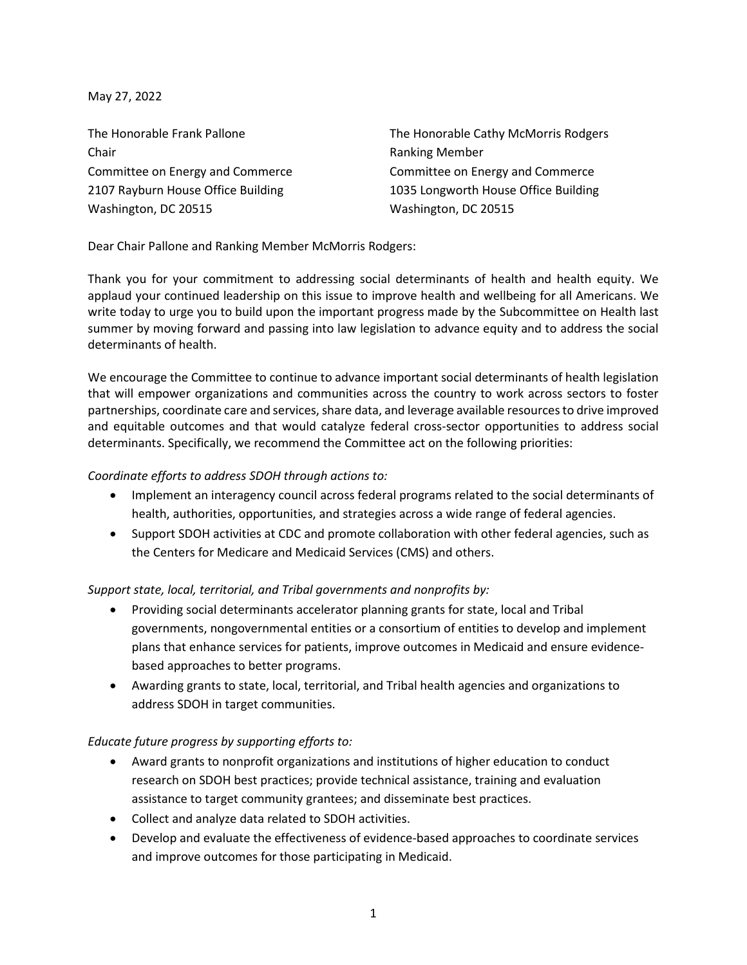May 27, 2022

Chair **Chair Chair Chair Chair Chair Chair Chair Chair Chair Chair Chair Chair Chair Chair Chair Chair Chair Chair Chair Chair Chair Chair Chair Chair Chair Chair Chair** Washington, DC 20515 Washington, DC 20515

The Honorable Frank Pallone The Honorable Cathy McMorris Rodgers Committee on Energy and Commerce Committee on Energy and Commerce 2107 Rayburn House Office Building 1035 Longworth House Office Building

Dear Chair Pallone and Ranking Member McMorris Rodgers:

Thank you for your commitment to addressing social determinants of health and health equity. We applaud your continued leadership on this issue to improve health and wellbeing for all Americans. We write today to urge you to build upon the important progress made by the Subcommittee on Health last summer by moving forward and passing into law legislation to advance equity and to address the social determinants of health.

We encourage the Committee to continue to advance important social determinants of health legislation that will empower organizations and communities across the country to work across sectors to foster partnerships, coordinate care and services, share data, and leverage available resources to drive improved and equitable outcomes and that would catalyze federal cross-sector opportunities to address social determinants. Specifically, we recommend the Committee act on the following priorities:

## *Coordinate efforts to address SDOH through actions to:*

- Implement an interagency council across federal programs related to the social determinants of health, authorities, opportunities, and strategies across a wide range of federal agencies.
- Support SDOH activities at CDC and promote collaboration with other federal agencies, such as the Centers for Medicare and Medicaid Services (CMS) and others.

## *Support state, local, territorial, and Tribal governments and nonprofits by:*

- Providing social determinants accelerator planning grants for state, local and Tribal governments, nongovernmental entities or a consortium of entities to develop and implement plans that enhance services for patients, improve outcomes in Medicaid and ensure evidencebased approaches to better programs.
- Awarding grants to state, local, territorial, and Tribal health agencies and organizations to address SDOH in target communities.

## *Educate future progress by supporting efforts to:*

- Award grants to nonprofit organizations and institutions of higher education to conduct research on SDOH best practices; provide technical assistance, training and evaluation assistance to target community grantees; and disseminate best practices.
- Collect and analyze data related to SDOH activities.
- Develop and evaluate the effectiveness of evidence-based approaches to coordinate services and improve outcomes for those participating in Medicaid.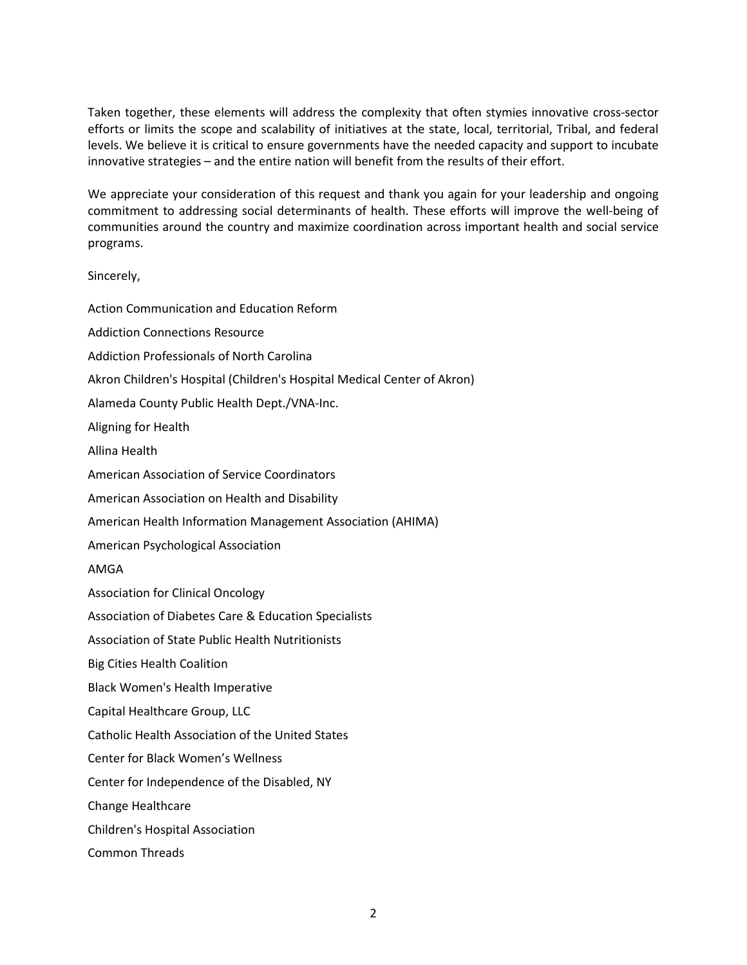Taken together, these elements will address the complexity that often stymies innovative cross-sector efforts or limits the scope and scalability of initiatives at the state, local, territorial, Tribal, and federal levels. We believe it is critical to ensure governments have the needed capacity and support to incubate innovative strategies – and the entire nation will benefit from the results of their effort.

We appreciate your consideration of this request and thank you again for your leadership and ongoing commitment to addressing social determinants of health. These efforts will improve the well-being of communities around the country and maximize coordination across important health and social service programs.

## Sincerely,

Action Communication and Education Reform Addiction Connections Resource Addiction Professionals of North Carolina Akron Children's Hospital (Children's Hospital Medical Center of Akron) Alameda County Public Health Dept./VNA-Inc. Aligning for Health Allina Health American Association of Service Coordinators American Association on Health and Disability American Health Information Management Association (AHIMA) American Psychological Association AMGA Association for Clinical Oncology Association of Diabetes Care & Education Specialists Association of State Public Health Nutritionists Big Cities Health Coalition Black Women's Health Imperative Capital Healthcare Group, LLC Catholic Health Association of the United States Center for Black Women's Wellness Center for Independence of the Disabled, NY Change Healthcare Children's Hospital Association Common Threads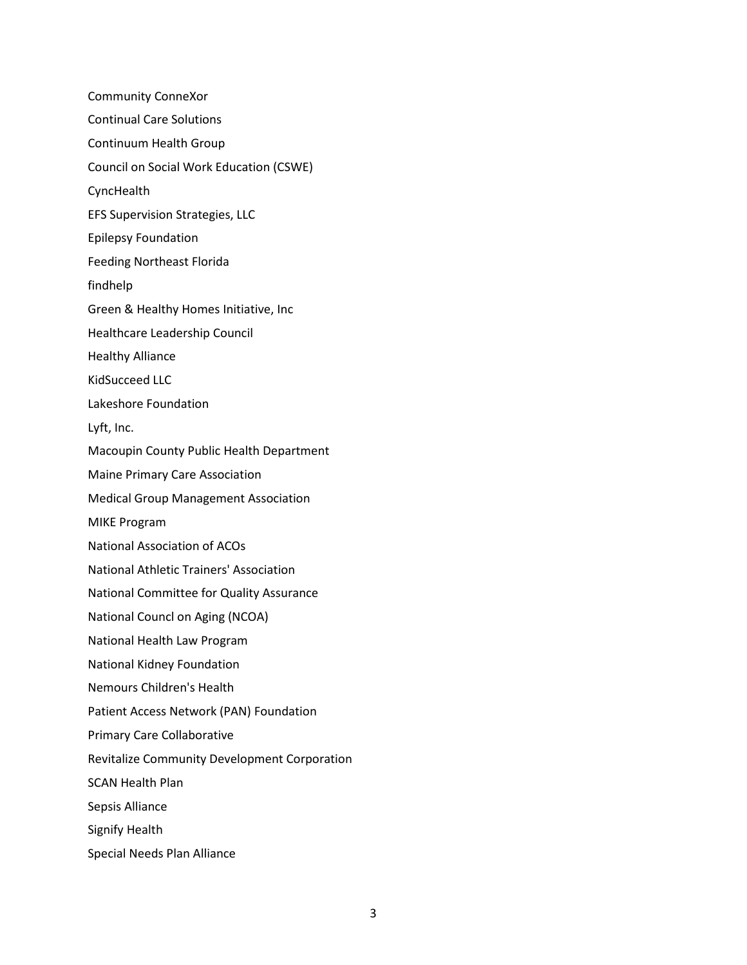Community ConneXor Continual Care Solutions Continuum Health Group Council on Social Work Education (CSWE) **CyncHealth** EFS Supervision Strategies, LLC Epilepsy Foundation Feeding Northeast Florida findhelp Green & Healthy Homes Initiative, Inc Healthcare Leadership Council Healthy Alliance KidSucceed LLC Lakeshore Foundation Lyft, Inc. Macoupin County Public Health Department Maine Primary Care Association Medical Group Management Association MIKE Program National Association of ACOs National Athletic Trainers' Association National Committee for Quality Assurance National Councl on Aging (NCOA) National Health Law Program National Kidney Foundation Nemours Children's Health Patient Access Network (PAN) Foundation Primary Care Collaborative Revitalize Community Development Corporation SCAN Health Plan Sepsis Alliance Signify Health Special Needs Plan Alliance